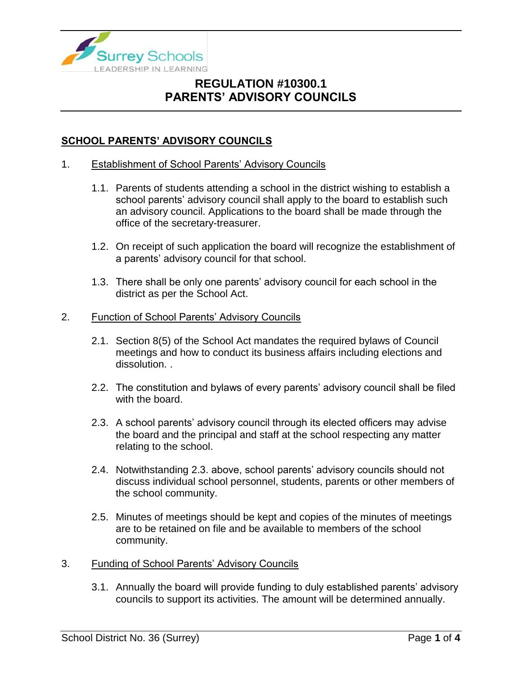

### **SCHOOL PARENTS' ADVISORY COUNCILS**

#### 1. Establishment of School Parents' Advisory Councils

- 1.1. Parents of students attending a school in the district wishing to establish a school parents' advisory council shall apply to the board to establish such an advisory council. Applications to the board shall be made through the office of the secretary-treasurer.
- 1.2. On receipt of such application the board will recognize the establishment of a parents' advisory council for that school.
- 1.3. There shall be only one parents' advisory council for each school in the district as per the School Act.

#### 2. Function of School Parents' Advisory Councils

- 2.1. Section 8(5) of the School Act mandates the required bylaws of Council meetings and how to conduct its business affairs including elections and dissolution. .
- 2.2. The constitution and bylaws of every parents' advisory council shall be filed with the board.
- 2.3. A school parents' advisory council through its elected officers may advise the board and the principal and staff at the school respecting any matter relating to the school.
- 2.4. Notwithstanding 2.3. above, school parents' advisory councils should not discuss individual school personnel, students, parents or other members of the school community.
- 2.5. Minutes of meetings should be kept and copies of the minutes of meetings are to be retained on file and be available to members of the school community.
- 3. Funding of School Parents' Advisory Councils
	- 3.1. Annually the board will provide funding to duly established parents' advisory councils to support its activities. The amount will be determined annually.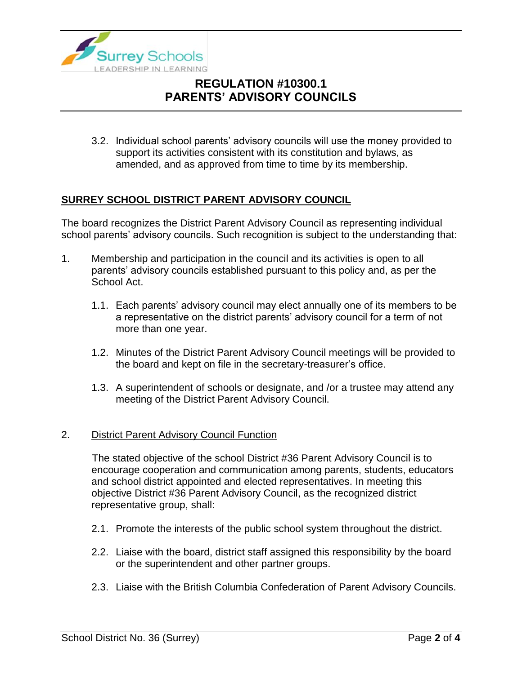

3.2. Individual school parents' advisory councils will use the money provided to support its activities consistent with its constitution and bylaws, as amended, and as approved from time to time by its membership.

### **SURREY SCHOOL DISTRICT PARENT ADVISORY COUNCIL**

The board recognizes the District Parent Advisory Council as representing individual school parents' advisory councils. Such recognition is subject to the understanding that:

- 1. Membership and participation in the council and its activities is open to all parents' advisory councils established pursuant to this policy and, as per the School Act.
	- 1.1. Each parents' advisory council may elect annually one of its members to be a representative on the district parents' advisory council for a term of not more than one year.
	- 1.2. Minutes of the District Parent Advisory Council meetings will be provided to the board and kept on file in the secretary-treasurer's office.
	- 1.3. A superintendent of schools or designate, and /or a trustee may attend any meeting of the District Parent Advisory Council.

### 2. District Parent Advisory Council Function

The stated objective of the school District #36 Parent Advisory Council is to encourage cooperation and communication among parents, students, educators and school district appointed and elected representatives. In meeting this objective District #36 Parent Advisory Council, as the recognized district representative group, shall:

- 2.1. Promote the interests of the public school system throughout the district.
- 2.2. Liaise with the board, district staff assigned this responsibility by the board or the superintendent and other partner groups.
- 2.3. Liaise with the British Columbia Confederation of Parent Advisory Councils.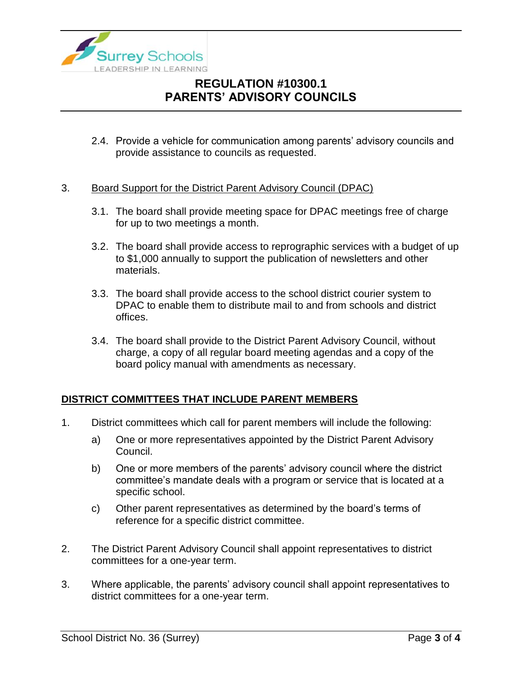

2.4. Provide a vehicle for communication among parents' advisory councils and provide assistance to councils as requested.

### 3. Board Support for the District Parent Advisory Council (DPAC)

- 3.1. The board shall provide meeting space for DPAC meetings free of charge for up to two meetings a month.
- 3.2. The board shall provide access to reprographic services with a budget of up to \$1,000 annually to support the publication of newsletters and other materials.
- 3.3. The board shall provide access to the school district courier system to DPAC to enable them to distribute mail to and from schools and district offices.
- 3.4. The board shall provide to the District Parent Advisory Council, without charge, a copy of all regular board meeting agendas and a copy of the board policy manual with amendments as necessary.

### **DISTRICT COMMITTEES THAT INCLUDE PARENT MEMBERS**

- 1. District committees which call for parent members will include the following:
	- a) One or more representatives appointed by the District Parent Advisory Council.
	- b) One or more members of the parents' advisory council where the district committee's mandate deals with a program or service that is located at a specific school.
	- c) Other parent representatives as determined by the board's terms of reference for a specific district committee.
- 2. The District Parent Advisory Council shall appoint representatives to district committees for a one-year term.
- 3. Where applicable, the parents' advisory council shall appoint representatives to district committees for a one-year term.